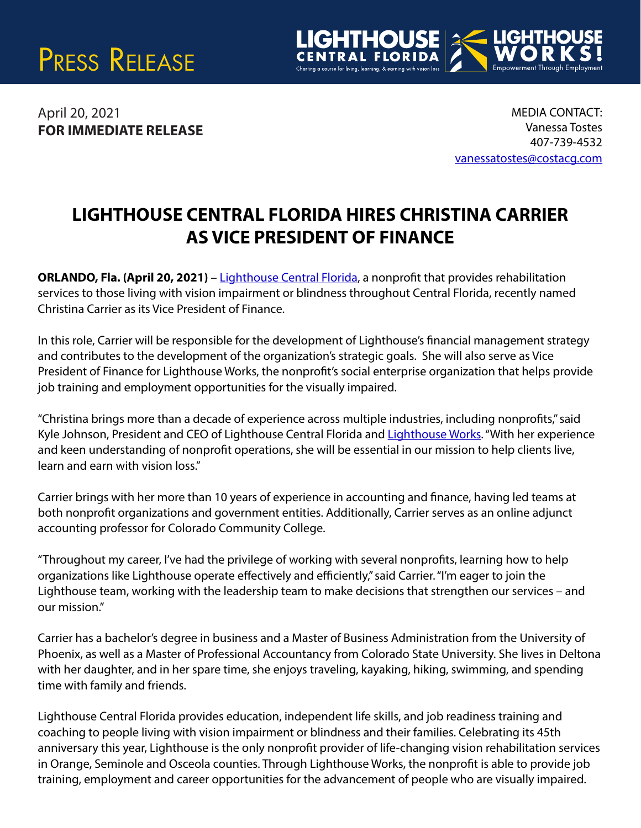



April 20, 2021 **FOR IMMEDIATE RELEASE** 

MEDIA CONTACT: Vanessa Tostes 407-739-4532 [vanessatostes@costacg.com](mailto:vanessatostes@costacg.com) 

## **LIGHTHOUSE CENTRAL FLORIDA HIRES CHRISTINA CARRIER AS VICE PRESIDENT OF FINANCE**

**ORLANDO, Fla. (April 20, 2021)** – [Lighthouse Central Florida,](https://www.lighthousecfl.org) a nonprofit that provides rehabilitation services to those living with vision impairment or blindness throughout Central Florida, recently named Christina Carrier as its Vice President of Finance.

In this role, Carrier will be responsible for the development of Lighthouse's financial management strategy and contributes to the development of the organization's strategic goals. She will also serve as Vice President of Finance for Lighthouse Works, the nonprofit's social enterprise organization that helps provide job training and employment opportunities for the visually impaired.

"Christina brings more than a decade of experience across multiple industries, including nonprofits," said Kyle Johnson, President and CEO of Lighthouse Central Florida and [Lighthouse Works.](https://www.lighthouseworks.org) "With her experience and keen understanding of nonprofit operations, she will be essential in our mission to help clients live, learn and earn with vision loss."

Carrier brings with her more than 10 years of experience in accounting and finance, having led teams at both nonprofit organizations and government entities. Additionally, Carrier serves as an online adjunct accounting professor for Colorado Community College.

"Throughout my career, I've had the privilege of working with several nonprofits, learning how to help organizations like Lighthouse operate effectively and efficiently," said Carrier. "I'm eager to join the Lighthouse team, working with the leadership team to make decisions that strengthen our services – and our mission."

Carrier has a bachelor's degree in business and a Master of Business Administration from the University of Phoenix, as well as a Master of Professional Accountancy from Colorado State University. She lives in Deltona with her daughter, and in her spare time, she enjoys traveling, kayaking, hiking, swimming, and spending time with family and friends.

Lighthouse Central Florida provides education, independent life skills, and job readiness training and coaching to people living with vision impairment or blindness and their families. Celebrating its 45th anniversary this year, Lighthouse is the only nonprofit provider of life-changing vision rehabilitation services in Orange, Seminole and Osceola counties. Through Lighthouse Works, the nonprofit is able to provide job training, employment and career opportunities for the advancement of people who are visually impaired.